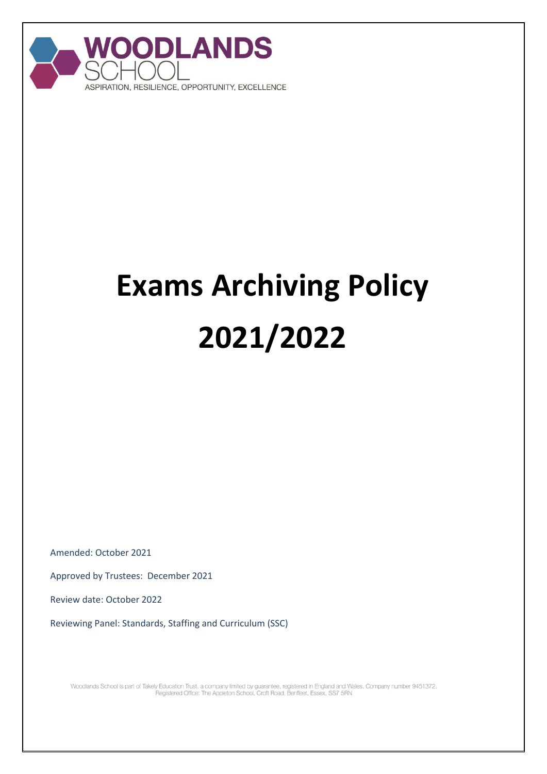

## **Exams Archiving Policy 2021/2022**

Amended: October 2021

Approved by Trustees: December 2021

Review date: October 2022

Reviewing Panel: Standards, Staffing and Curriculum (SSC)

Woodlands School is part of Takely Education Trust, a company limited by guarantee, registered in England and Wales. Company number 9451372.<br>Registered Office: The Appleton School, Croft Road, Benfleet, Essex, SS7 5RN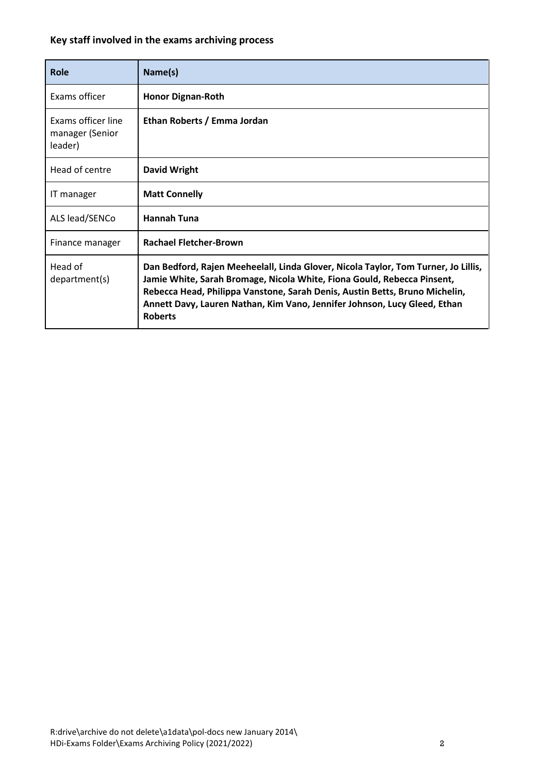## **Key staff involved in the exams archiving process**

| <b>Role</b>                                      | Name(s)                                                                                                                                                                                                                                                                                                                                     |
|--------------------------------------------------|---------------------------------------------------------------------------------------------------------------------------------------------------------------------------------------------------------------------------------------------------------------------------------------------------------------------------------------------|
| Exams officer                                    | <b>Honor Dignan-Roth</b>                                                                                                                                                                                                                                                                                                                    |
| Exams officer line<br>manager (Senior<br>leader) | Ethan Roberts / Emma Jordan                                                                                                                                                                                                                                                                                                                 |
| Head of centre                                   | <b>David Wright</b>                                                                                                                                                                                                                                                                                                                         |
| IT manager                                       | <b>Matt Connelly</b>                                                                                                                                                                                                                                                                                                                        |
| ALS lead/SENCo                                   | <b>Hannah Tuna</b>                                                                                                                                                                                                                                                                                                                          |
| Finance manager                                  | <b>Rachael Fletcher-Brown</b>                                                                                                                                                                                                                                                                                                               |
| Head of<br>department(s)                         | Dan Bedford, Rajen Meeheelall, Linda Glover, Nicola Taylor, Tom Turner, Jo Lillis,<br>Jamie White, Sarah Bromage, Nicola White, Fiona Gould, Rebecca Pinsent,<br>Rebecca Head, Philippa Vanstone, Sarah Denis, Austin Betts, Bruno Michelin,<br>Annett Davy, Lauren Nathan, Kim Vano, Jennifer Johnson, Lucy Gleed, Ethan<br><b>Roberts</b> |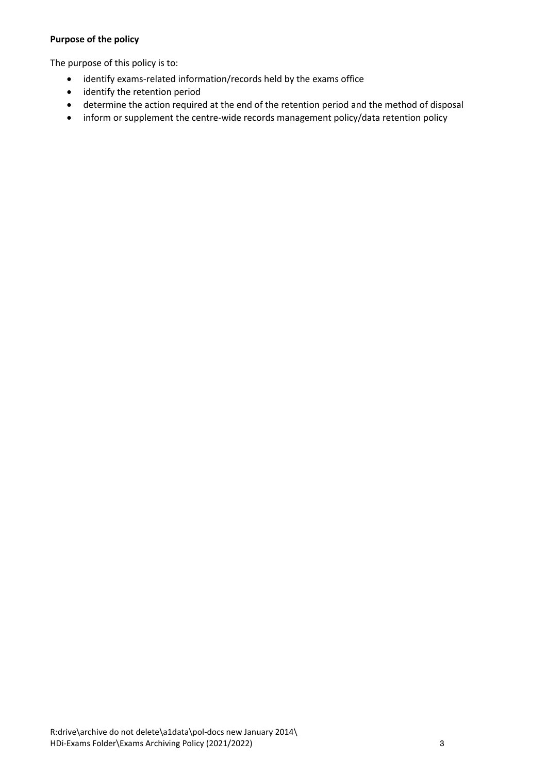## **Purpose of the policy**

The purpose of this policy is to:

- identify exams-related information/records held by the exams office
- identify the retention period
- determine the action required at the end of the retention period and the method of disposal
- inform or supplement the centre-wide records management policy/data retention policy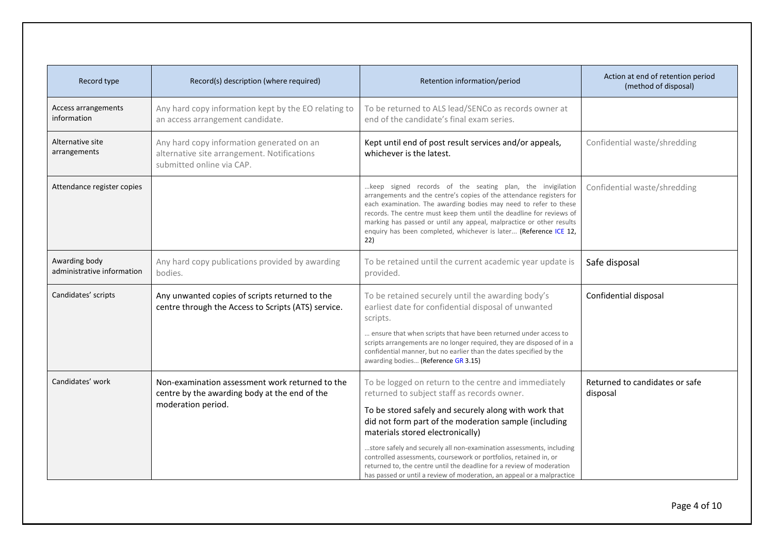| Record type                                 | Record(s) description (where required)                                                                                 | Retention information/period                                                                                                                                                                                                                                                                                                                                                                                                                                                                                                                              | Action at end of retention period<br>(method of disposal) |
|---------------------------------------------|------------------------------------------------------------------------------------------------------------------------|-----------------------------------------------------------------------------------------------------------------------------------------------------------------------------------------------------------------------------------------------------------------------------------------------------------------------------------------------------------------------------------------------------------------------------------------------------------------------------------------------------------------------------------------------------------|-----------------------------------------------------------|
| Access arrangements<br>information          | Any hard copy information kept by the EO relating to<br>an access arrangement candidate.                               | To be returned to ALS lead/SENCo as records owner at<br>end of the candidate's final exam series.                                                                                                                                                                                                                                                                                                                                                                                                                                                         |                                                           |
| Alternative site<br>arrangements            | Any hard copy information generated on an<br>alternative site arrangement. Notifications<br>submitted online via CAP.  | Kept until end of post result services and/or appeals,<br>whichever is the latest.                                                                                                                                                                                                                                                                                                                                                                                                                                                                        | Confidential waste/shredding                              |
| Attendance register copies                  |                                                                                                                        | keep signed records of the seating plan, the invigilation<br>arrangements and the centre's copies of the attendance registers for<br>each examination. The awarding bodies may need to refer to these<br>records. The centre must keep them until the deadline for reviews of<br>marking has passed or until any appeal, malpractice or other results<br>enquiry has been completed, whichever is later (Reference ICE 12,<br>22)                                                                                                                         | Confidential waste/shredding                              |
| Awarding body<br>administrative information | Any hard copy publications provided by awarding<br>bodies.                                                             | To be retained until the current academic year update is<br>provided.                                                                                                                                                                                                                                                                                                                                                                                                                                                                                     | Safe disposal                                             |
| Candidates' scripts                         | Any unwanted copies of scripts returned to the<br>centre through the Access to Scripts (ATS) service.                  | To be retained securely until the awarding body's<br>earliest date for confidential disposal of unwanted<br>scripts.<br>ensure that when scripts that have been returned under access to<br>scripts arrangements are no longer required, they are disposed of in a<br>confidential manner, but no earlier than the dates specified by the<br>awarding bodies (Reference GR 3.15)                                                                                                                                                                          | Confidential disposal                                     |
| Candidates' work                            | Non-examination assessment work returned to the<br>centre by the awarding body at the end of the<br>moderation period. | To be logged on return to the centre and immediately<br>returned to subject staff as records owner.<br>To be stored safely and securely along with work that<br>did not form part of the moderation sample (including<br>materials stored electronically)<br>store safely and securely all non-examination assessments, including<br>controlled assessments, coursework or portfolios, retained in, or<br>returned to, the centre until the deadline for a review of moderation<br>has passed or until a review of moderation, an appeal or a malpractice | Returned to candidates or safe<br>disposal                |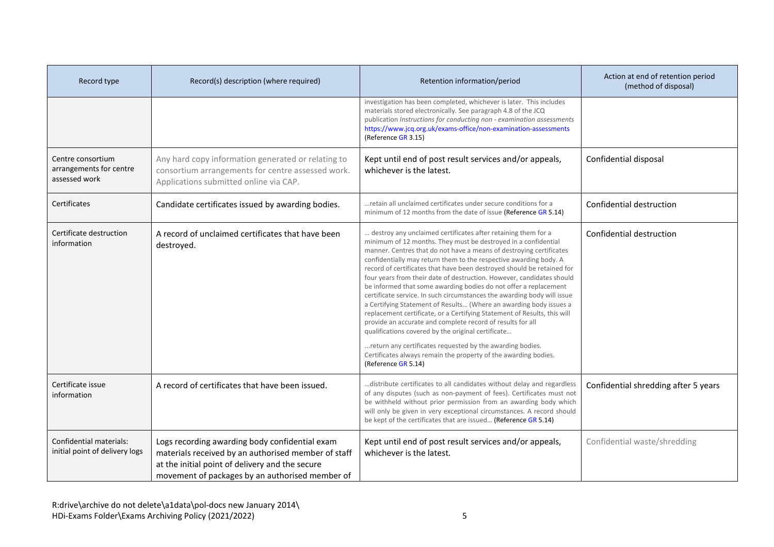| Record type                                                   | Record(s) description (where required)                                                                                                                                                                      | Retention information/period                                                                                                                                                                                                                                                                                                                                                                                                                                                                                                                                                                                                                                                                                                                                                                                                                                                                                                                                                                               | Action at end of retention period<br>(method of disposal) |
|---------------------------------------------------------------|-------------------------------------------------------------------------------------------------------------------------------------------------------------------------------------------------------------|------------------------------------------------------------------------------------------------------------------------------------------------------------------------------------------------------------------------------------------------------------------------------------------------------------------------------------------------------------------------------------------------------------------------------------------------------------------------------------------------------------------------------------------------------------------------------------------------------------------------------------------------------------------------------------------------------------------------------------------------------------------------------------------------------------------------------------------------------------------------------------------------------------------------------------------------------------------------------------------------------------|-----------------------------------------------------------|
|                                                               |                                                                                                                                                                                                             | investigation has been completed, whichever is later. This includes<br>materials stored electronically. See paragraph 4.8 of the JCQ<br>publication Instructions for conducting non - examination assessments<br>https://www.jcq.org.uk/exams-office/non-examination-assessments<br>(Reference GR 3.15)                                                                                                                                                                                                                                                                                                                                                                                                                                                                                                                                                                                                                                                                                                    |                                                           |
| Centre consortium<br>arrangements for centre<br>assessed work | Any hard copy information generated or relating to<br>consortium arrangements for centre assessed work.<br>Applications submitted online via CAP.                                                           | Kept until end of post result services and/or appeals,<br>whichever is the latest.                                                                                                                                                                                                                                                                                                                                                                                                                                                                                                                                                                                                                                                                                                                                                                                                                                                                                                                         | Confidential disposal                                     |
| Certificates                                                  | Candidate certificates issued by awarding bodies.                                                                                                                                                           | retain all unclaimed certificates under secure conditions for a<br>minimum of 12 months from the date of issue (Reference GR 5.14)                                                                                                                                                                                                                                                                                                                                                                                                                                                                                                                                                                                                                                                                                                                                                                                                                                                                         | Confidential destruction                                  |
| Certificate destruction<br>information                        | A record of unclaimed certificates that have been<br>destroyed.                                                                                                                                             | destroy any unclaimed certificates after retaining them for a<br>minimum of 12 months. They must be destroyed in a confidential<br>manner. Centres that do not have a means of destroying certificates<br>confidentially may return them to the respective awarding body. A<br>record of certificates that have been destroyed should be retained for<br>four years from their date of destruction. However, candidates should<br>be informed that some awarding bodies do not offer a replacement<br>certificate service. In such circumstances the awarding body will issue<br>a Certifying Statement of Results (Where an awarding body issues a<br>replacement certificate, or a Certifying Statement of Results, this will<br>provide an accurate and complete record of results for all<br>qualifications covered by the original certificate<br>return any certificates requested by the awarding bodies.<br>Certificates always remain the property of the awarding bodies.<br>(Reference GR 5.14) | Confidential destruction                                  |
| Certificate issue<br>information                              | A record of certificates that have been issued.                                                                                                                                                             | distribute certificates to all candidates without delay and regardless<br>of any disputes (such as non-payment of fees). Certificates must not<br>be withheld without prior permission from an awarding body which<br>will only be given in very exceptional circumstances. A record should<br>be kept of the certificates that are issued (Reference GR 5.14)                                                                                                                                                                                                                                                                                                                                                                                                                                                                                                                                                                                                                                             | Confidential shredding after 5 years                      |
| Confidential materials:<br>initial point of delivery logs     | Logs recording awarding body confidential exam<br>materials received by an authorised member of staff<br>at the initial point of delivery and the secure<br>movement of packages by an authorised member of | Kept until end of post result services and/or appeals,<br>whichever is the latest.                                                                                                                                                                                                                                                                                                                                                                                                                                                                                                                                                                                                                                                                                                                                                                                                                                                                                                                         | Confidential waste/shredding                              |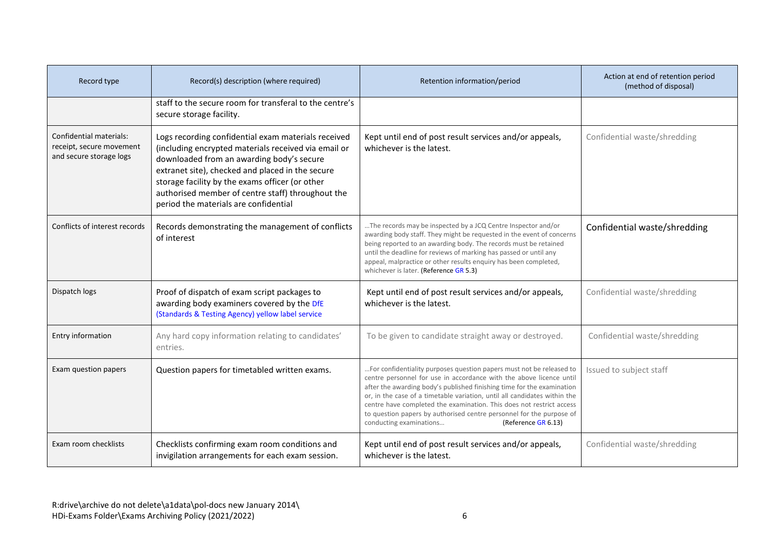| Record type                                                                    | Record(s) description (where required)                                                                                                                                                                                                                                                                                                                        | Retention information/period                                                                                                                                                                                                                                                                                                                                                                                                                                                                         | Action at end of retention period<br>(method of disposal) |
|--------------------------------------------------------------------------------|---------------------------------------------------------------------------------------------------------------------------------------------------------------------------------------------------------------------------------------------------------------------------------------------------------------------------------------------------------------|------------------------------------------------------------------------------------------------------------------------------------------------------------------------------------------------------------------------------------------------------------------------------------------------------------------------------------------------------------------------------------------------------------------------------------------------------------------------------------------------------|-----------------------------------------------------------|
|                                                                                | staff to the secure room for transferal to the centre's<br>secure storage facility.                                                                                                                                                                                                                                                                           |                                                                                                                                                                                                                                                                                                                                                                                                                                                                                                      |                                                           |
| Confidential materials:<br>receipt, secure movement<br>and secure storage logs | Logs recording confidential exam materials received<br>(including encrypted materials received via email or<br>downloaded from an awarding body's secure<br>extranet site), checked and placed in the secure<br>storage facility by the exams officer (or other<br>authorised member of centre staff) throughout the<br>period the materials are confidential | Kept until end of post result services and/or appeals,<br>whichever is the latest.                                                                                                                                                                                                                                                                                                                                                                                                                   | Confidential waste/shredding                              |
| Conflicts of interest records                                                  | Records demonstrating the management of conflicts<br>of interest                                                                                                                                                                                                                                                                                              | The records may be inspected by a JCQ Centre Inspector and/or<br>awarding body staff. They might be requested in the event of concerns<br>being reported to an awarding body. The records must be retained<br>until the deadline for reviews of marking has passed or until any<br>appeal, malpractice or other results enquiry has been completed,<br>whichever is later. (Reference GR 5.3)                                                                                                        | Confidential waste/shredding                              |
| Dispatch logs                                                                  | Proof of dispatch of exam script packages to<br>awarding body examiners covered by the DfE<br>(Standards & Testing Agency) yellow label service                                                                                                                                                                                                               | Kept until end of post result services and/or appeals,<br>whichever is the latest.                                                                                                                                                                                                                                                                                                                                                                                                                   | Confidential waste/shredding                              |
| Entry information                                                              | Any hard copy information relating to candidates'<br>entries.                                                                                                                                                                                                                                                                                                 | To be given to candidate straight away or destroyed.                                                                                                                                                                                                                                                                                                                                                                                                                                                 | Confidential waste/shredding                              |
| Exam question papers                                                           | Question papers for timetabled written exams.                                                                                                                                                                                                                                                                                                                 | For confidentiality purposes question papers must not be released to<br>centre personnel for use in accordance with the above licence until<br>after the awarding body's published finishing time for the examination<br>or, in the case of a timetable variation, until all candidates within the<br>centre have completed the examination. This does not restrict access<br>to question papers by authorised centre personnel for the purpose of<br>conducting examinations<br>(Reference GR 6.13) | Issued to subject staff                                   |
| Exam room checklists                                                           | Checklists confirming exam room conditions and<br>invigilation arrangements for each exam session.                                                                                                                                                                                                                                                            | Kept until end of post result services and/or appeals,<br>whichever is the latest.                                                                                                                                                                                                                                                                                                                                                                                                                   | Confidential waste/shredding                              |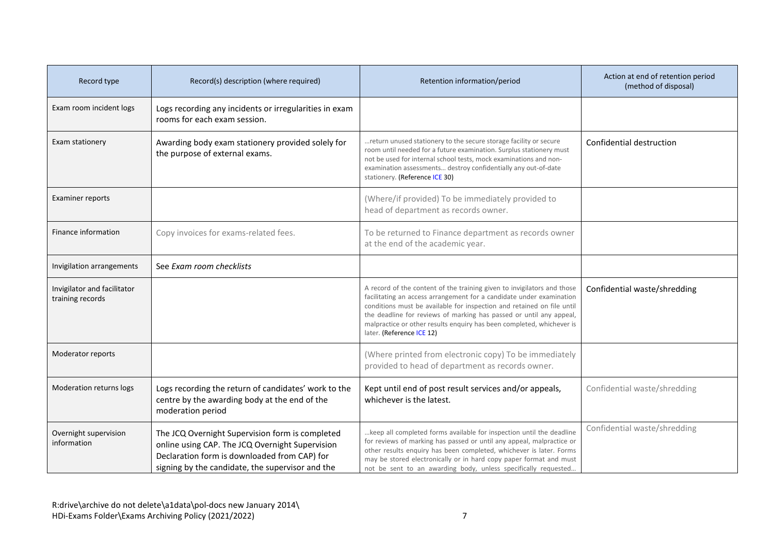| Record type                                     | Record(s) description (where required)                                                                                                                                                                 | Retention information/period                                                                                                                                                                                                                                                                                                                                                                           | Action at end of retention period<br>(method of disposal) |
|-------------------------------------------------|--------------------------------------------------------------------------------------------------------------------------------------------------------------------------------------------------------|--------------------------------------------------------------------------------------------------------------------------------------------------------------------------------------------------------------------------------------------------------------------------------------------------------------------------------------------------------------------------------------------------------|-----------------------------------------------------------|
| Exam room incident logs                         | Logs recording any incidents or irregularities in exam<br>rooms for each exam session.                                                                                                                 |                                                                                                                                                                                                                                                                                                                                                                                                        |                                                           |
| Exam stationery                                 | Awarding body exam stationery provided solely for<br>the purpose of external exams.                                                                                                                    | return unused stationery to the secure storage facility or secure<br>room until needed for a future examination. Surplus stationery must<br>not be used for internal school tests, mock examinations and non-<br>examination assessments destroy confidentially any out-of-date<br>stationery. (Reference ICE 30)                                                                                      | Confidential destruction                                  |
| <b>Examiner reports</b>                         |                                                                                                                                                                                                        | (Where/if provided) To be immediately provided to<br>head of department as records owner.                                                                                                                                                                                                                                                                                                              |                                                           |
| Finance information                             | Copy invoices for exams-related fees.                                                                                                                                                                  | To be returned to Finance department as records owner<br>at the end of the academic year.                                                                                                                                                                                                                                                                                                              |                                                           |
| Invigilation arrangements                       | See Exam room checklists                                                                                                                                                                               |                                                                                                                                                                                                                                                                                                                                                                                                        |                                                           |
| Invigilator and facilitator<br>training records |                                                                                                                                                                                                        | A record of the content of the training given to invigilators and those<br>facilitating an access arrangement for a candidate under examination<br>conditions must be available for inspection and retained on file until<br>the deadline for reviews of marking has passed or until any appeal,<br>malpractice or other results enquiry has been completed, whichever is<br>later. (Reference ICE 12) | Confidential waste/shredding                              |
| Moderator reports                               |                                                                                                                                                                                                        | (Where printed from electronic copy) To be immediately<br>provided to head of department as records owner.                                                                                                                                                                                                                                                                                             |                                                           |
| Moderation returns logs                         | Logs recording the return of candidates' work to the<br>centre by the awarding body at the end of the<br>moderation period                                                                             | Kept until end of post result services and/or appeals,<br>whichever is the latest.                                                                                                                                                                                                                                                                                                                     | Confidential waste/shredding                              |
| Overnight supervision<br>information            | The JCQ Overnight Supervision form is completed<br>online using CAP. The JCQ Overnight Supervision<br>Declaration form is downloaded from CAP) for<br>signing by the candidate, the supervisor and the | keep all completed forms available for inspection until the deadline<br>for reviews of marking has passed or until any appeal, malpractice or<br>other results enquiry has been completed, whichever is later. Forms<br>may be stored electronically or in hard copy paper format and must<br>not be sent to an awarding body, unless specifically requested                                           | Confidential waste/shredding                              |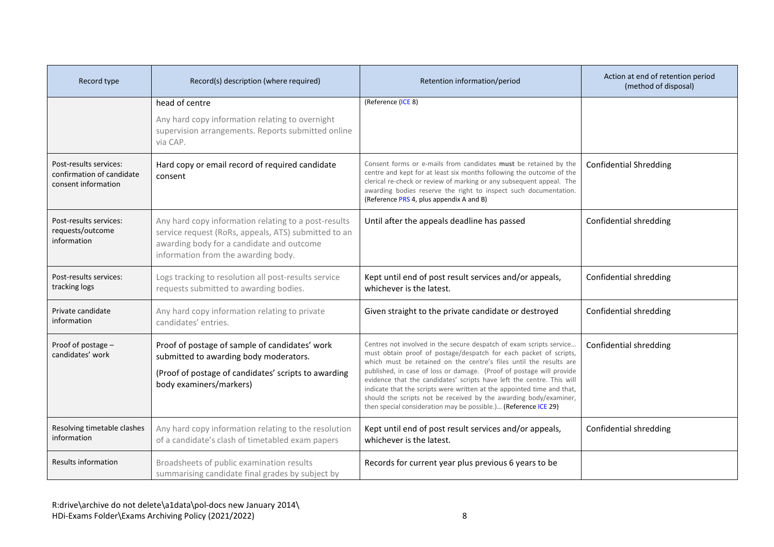| Record type                                                                | Record(s) description (where required)                                                                                                                                                           | Retention information/period                                                                                                                                                                                                                                                                                                                                                                                                                                                                                   | Action at end of retention period<br>(method of disposal) |
|----------------------------------------------------------------------------|--------------------------------------------------------------------------------------------------------------------------------------------------------------------------------------------------|----------------------------------------------------------------------------------------------------------------------------------------------------------------------------------------------------------------------------------------------------------------------------------------------------------------------------------------------------------------------------------------------------------------------------------------------------------------------------------------------------------------|-----------------------------------------------------------|
|                                                                            | head of centre<br>Any hard copy information relating to overnight                                                                                                                                | (Reference (ICE 8)                                                                                                                                                                                                                                                                                                                                                                                                                                                                                             |                                                           |
|                                                                            | supervision arrangements. Reports submitted online<br>via CAP.                                                                                                                                   |                                                                                                                                                                                                                                                                                                                                                                                                                                                                                                                |                                                           |
| Post-results services:<br>confirmation of candidate<br>consent information | Hard copy or email record of required candidate<br>consent                                                                                                                                       | Consent forms or e-mails from candidates must be retained by the<br>centre and kept for at least six months following the outcome of the<br>clerical re-check or review of marking or any subsequent appeal. The<br>awarding bodies reserve the right to inspect such documentation.<br>(Reference PRS 4, plus appendix A and B)                                                                                                                                                                               | <b>Confidential Shredding</b>                             |
| Post-results services:<br>requests/outcome<br>information                  | Any hard copy information relating to a post-results<br>service request (RoRs, appeals, ATS) submitted to an<br>awarding body for a candidate and outcome<br>information from the awarding body. | Until after the appeals deadline has passed                                                                                                                                                                                                                                                                                                                                                                                                                                                                    | Confidential shredding                                    |
| Post-results services:<br>tracking logs                                    | Logs tracking to resolution all post-results service<br>requests submitted to awarding bodies.                                                                                                   | Kept until end of post result services and/or appeals,<br>whichever is the latest.                                                                                                                                                                                                                                                                                                                                                                                                                             | Confidential shredding                                    |
| Private candidate<br>information                                           | Any hard copy information relating to private<br>candidates' entries.                                                                                                                            | Given straight to the private candidate or destroyed                                                                                                                                                                                                                                                                                                                                                                                                                                                           | Confidential shredding                                    |
| Proof of postage -<br>candidates' work                                     | Proof of postage of sample of candidates' work<br>submitted to awarding body moderators.<br>(Proof of postage of candidates' scripts to awarding<br>body examiners/markers)                      | Centres not involved in the secure despatch of exam scripts service<br>must obtain proof of postage/despatch for each packet of scripts,<br>which must be retained on the centre's files until the results are<br>published, in case of loss or damage. (Proof of postage will provide<br>evidence that the candidates' scripts have left the centre. This will<br>indicate that the scripts were written at the appointed time and that,<br>should the scripts not be received by the awarding body/examiner, | Confidential shredding                                    |
| Resolving timetable clashes                                                | Any hard copy information relating to the resolution                                                                                                                                             | then special consideration may be possible.) (Reference ICE 29)<br>Kept until end of post result services and/or appeals,                                                                                                                                                                                                                                                                                                                                                                                      | Confidential shredding                                    |
| information                                                                | of a candidate's clash of timetabled exam papers                                                                                                                                                 | whichever is the latest.                                                                                                                                                                                                                                                                                                                                                                                                                                                                                       |                                                           |
| <b>Results information</b>                                                 | Broadsheets of public examination results<br>summarising candidate final grades by subject by                                                                                                    | Records for current year plus previous 6 years to be                                                                                                                                                                                                                                                                                                                                                                                                                                                           |                                                           |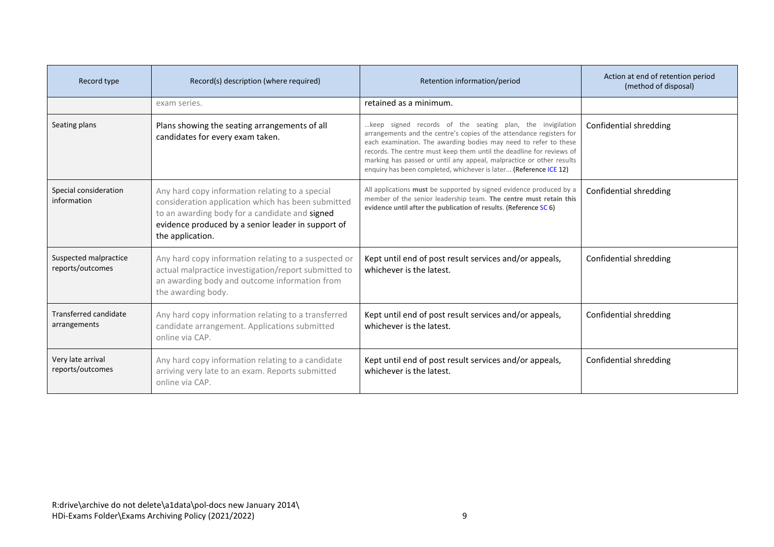| Record type                                  | Record(s) description (where required)                                                                                                                                                                                            | Retention information/period                                                                                                                                                                                                                                                                                                                                                                                               | Action at end of retention period<br>(method of disposal) |
|----------------------------------------------|-----------------------------------------------------------------------------------------------------------------------------------------------------------------------------------------------------------------------------------|----------------------------------------------------------------------------------------------------------------------------------------------------------------------------------------------------------------------------------------------------------------------------------------------------------------------------------------------------------------------------------------------------------------------------|-----------------------------------------------------------|
|                                              | exam series.                                                                                                                                                                                                                      | retained as a minimum.                                                                                                                                                                                                                                                                                                                                                                                                     |                                                           |
| Seating plans                                | Plans showing the seating arrangements of all<br>candidates for every exam taken.                                                                                                                                                 | keep signed records of the seating plan, the invigilation<br>arrangements and the centre's copies of the attendance registers for<br>each examination. The awarding bodies may need to refer to these<br>records. The centre must keep them until the deadline for reviews of<br>marking has passed or until any appeal, malpractice or other results<br>enquiry has been completed, whichever is later (Reference ICE 12) | Confidential shredding                                    |
| Special consideration<br>information         | Any hard copy information relating to a special<br>consideration application which has been submitted<br>to an awarding body for a candidate and signed<br>evidence produced by a senior leader in support of<br>the application. | All applications must be supported by signed evidence produced by a<br>member of the senior leadership team. The centre must retain this<br>evidence until after the publication of results. (Reference SC 6)                                                                                                                                                                                                              | Confidential shredding                                    |
| Suspected malpractice<br>reports/outcomes    | Any hard copy information relating to a suspected or<br>actual malpractice investigation/report submitted to<br>an awarding body and outcome information from<br>the awarding body.                                               | Kept until end of post result services and/or appeals,<br>whichever is the latest.                                                                                                                                                                                                                                                                                                                                         | Confidential shredding                                    |
| <b>Transferred candidate</b><br>arrangements | Any hard copy information relating to a transferred<br>candidate arrangement. Applications submitted<br>online via CAP.                                                                                                           | Kept until end of post result services and/or appeals,<br>whichever is the latest.                                                                                                                                                                                                                                                                                                                                         | Confidential shredding                                    |
| Very late arrival<br>reports/outcomes        | Any hard copy information relating to a candidate<br>arriving very late to an exam. Reports submitted<br>online via CAP.                                                                                                          | Kept until end of post result services and/or appeals,<br>whichever is the latest.                                                                                                                                                                                                                                                                                                                                         | Confidential shredding                                    |